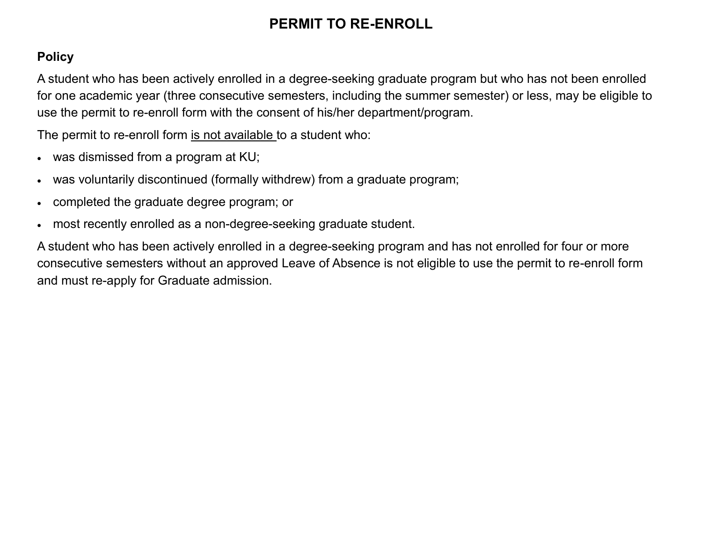# **PERMIT TO RE-ENROLL**

#### **Policy**

A student who has been actively enrolled in a degree-seeking graduate program but who has not been enrolled for one academic year (three consecutive semesters, including the summer semester) or less, may be eligible to use the permit to re-enroll form with the consent of his/her department/program.

The permit to re-enroll form is not available to a student who:

- was dismissed from a program at KU;
- was voluntarily discontinued (formally withdrew) from a graduate program;
- completed the graduate degree program; or
- most recently enrolled as a non-degree-seeking graduate student.

A student who has been actively enrolled in a degree-seeking program and has not enrolled for four or more consecutive semesters without an approved Leave of Absence is not eligible to use the permit to re-enroll form and must re-apply for Graduate admission.